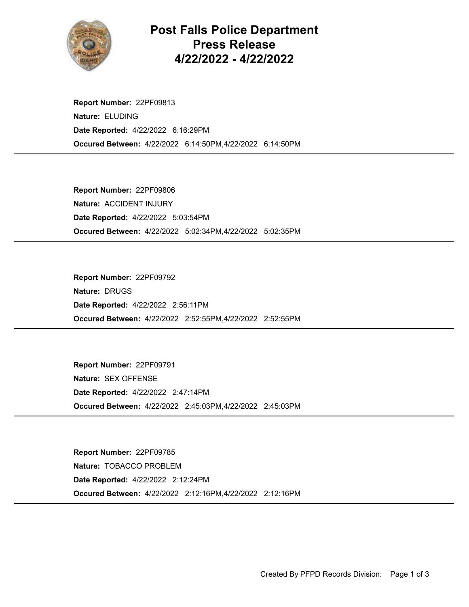

## Post Falls Police Department Press Release 4/22/2022 - 4/22/2022

Occured Between: 4/22/2022 6:14:50PM,4/22/2022 6:14:50PM Report Number: 22PF09813 Nature: ELUDING Date Reported: 4/22/2022 6:16:29PM

Occured Between: 4/22/2022 5:02:34PM,4/22/2022 5:02:35PM Report Number: 22PF09806 Nature: ACCIDENT INJURY Date Reported: 4/22/2022 5:03:54PM

Occured Between: 4/22/2022 2:52:55PM,4/22/2022 2:52:55PM Report Number: 22PF09792 Nature: DRUGS Date Reported: 4/22/2022 2:56:11PM

Occured Between: 4/22/2022 2:45:03PM,4/22/2022 2:45:03PM Report Number: 22PF09791 Nature: SEX OFFENSE Date Reported: 4/22/2022 2:47:14PM

Occured Between: 4/22/2022 2:12:16PM,4/22/2022 2:12:16PM Report Number: 22PF09785 Nature: TOBACCO PROBLEM Date Reported: 4/22/2022 2:12:24PM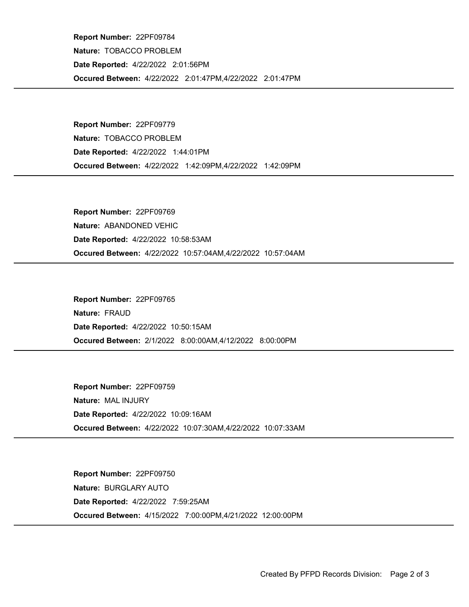Occured Between: 4/22/2022 2:01:47PM,4/22/2022 2:01:47PM Report Number: 22PF09784 Nature: TOBACCO PROBLEM Date Reported: 4/22/2022 2:01:56PM

Occured Between: 4/22/2022 1:42:09PM,4/22/2022 1:42:09PM Report Number: 22PF09779 Nature: TOBACCO PROBLEM Date Reported: 4/22/2022 1:44:01PM

Occured Between: 4/22/2022 10:57:04AM,4/22/2022 10:57:04AM Report Number: 22PF09769 Nature: ABANDONED VEHIC Date Reported: 4/22/2022 10:58:53AM

Occured Between: 2/1/2022 8:00:00AM,4/12/2022 8:00:00PM Report Number: 22PF09765 Nature: FRAUD Date Reported: 4/22/2022 10:50:15AM

Occured Between: 4/22/2022 10:07:30AM,4/22/2022 10:07:33AM Report Number: 22PF09759 Nature: MAL INJURY Date Reported: 4/22/2022 10:09:16AM

Occured Between: 4/15/2022 7:00:00PM,4/21/2022 12:00:00PM Report Number: 22PF09750 Nature: BURGLARY AUTO Date Reported: 4/22/2022 7:59:25AM